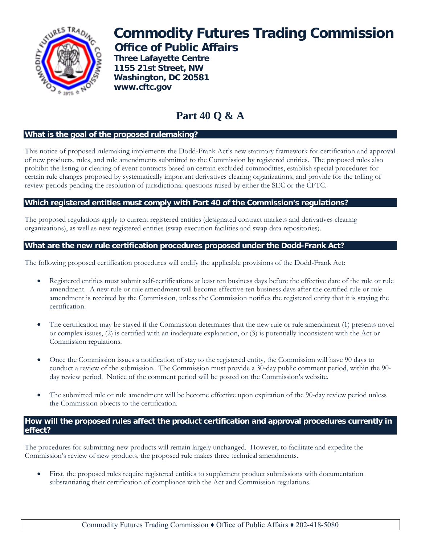

# **Commodity Futures Trading Commission Office of Public Affairs**

 **Three Lafayette Centre 1155 21st Street, NW Washington, DC 20581 www.cftc.gov**

# **Part 40 Q & A**

# **What is the goal of the proposed rulemaking?**

This notice of proposed rulemaking implements the Dodd-Frank Act's new statutory framework for certification and approval of new products, rules, and rule amendments submitted to the Commission by registered entities. The proposed rules also prohibit the listing or clearing of event contracts based on certain excluded commodities, establish special procedures for certain rule changes proposed by systematically important derivatives clearing organizations, and provide for the tolling of review periods pending the resolution of jurisdictional questions raised by either the SEC or the CFTC.

#### **Which registered entities must comply with Part 40 of the Commission's regulations?**

The proposed regulations apply to current registered entities (designated contract markets and derivatives clearing organizations), as well as new registered entities (swap execution facilities and swap data repositories).

# **What are the new rule certification procedures proposed under the Dodd-Frank Act?**

The following proposed certification procedures will codify the applicable provisions of the Dodd-Frank Act:

- Registered entities must submit self-certifications at least ten business days before the effective date of the rule or rule amendment. A new rule or rule amendment will become effective ten business days after the certified rule or rule amendment is received by the Commission, unless the Commission notifies the registered entity that it is staying the certification.
- The certification may be stayed if the Commission determines that the new rule or rule amendment (1) presents novel or complex issues, (2) is certified with an inadequate explanation, or (3) is potentially inconsistent with the Act or Commission regulations.
- Once the Commission issues a notification of stay to the registered entity, the Commission will have 90 days to conduct a review of the submission. The Commission must provide a 30-day public comment period, within the 90 day review period. Notice of the comment period will be posted on the Commission's website.
- The submitted rule or rule amendment will be become effective upon expiration of the 90-day review period unless the Commission objects to the certification.

## **How will the proposed rules affect the product certification and approval procedures currently in effect?**

The procedures for submitting new products will remain largely unchanged. However, to facilitate and expedite the Commission's review of new products, the proposed rule makes three technical amendments.

• First, the proposed rules require registered entities to supplement product submissions with documentation substantiating their certification of compliance with the Act and Commission regulations.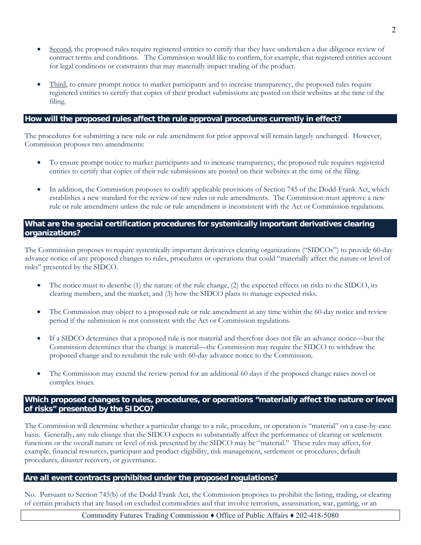- Second, the proposed rules require registered entities to certify that they have undertaken a due diligence review of contract terms and conditions. The Commission would like to confirm, for example, that registered entities account for legal conditions or constraints that may materially impact trading of the product.
- Third, to ensure prompt notice to market participants and to increase transparency, the proposed rules require registered entities to certify that copies of their product submissions are posted on their websites at the time of the filing.

#### **How will the proposed rules affect the rule approval procedures currently in effect?**

The procedures for submitting a new rule or rule amendment for prior approval will remain largely unchanged. However, Commission proposes two amendments:

- To ensure prompt notice to market participants and to increase transparency, the proposed rule requires registered entities to certify that copies of their rule submissions are posted on their websites at the time of the filing.
- In addition, the Commission proposes to codify applicable provisions of Section 745 of the Dodd-Frank Act, which establishes a new standard for the review of new rules or rule amendments. The Commission must approve a new rule or rule amendment unless the rule or rule amendment is inconsistent with the Act or Commission regulations.

#### **What are the special certification procedures for systemically important derivatives clearing organizations?**

The Commission proposes to require systemically important derivatives clearing organizations ("SIDCOs") to provide 60-day advance notice of any proposed changes to rules, procedures or operations that could "materially affect the nature or level of risks" presented by the SIDCO.

- The notice must to describe (1) the nature of the rule change, (2) the expected effects on risks to the SIDCO, its clearing members, and the market, and (3) how the SIDCO plans to manage expected risks.
- The Commission may object to a proposed rule or rule amendment at any time within the 60-day notice and review period if the submission is not consistent with the Act or Commission regulations.
- If a SIDCO determines that a proposed rule is not material and therefore does not file an advance notice—but the Commission determines that the change is material—the Commission may require the SIDCO to withdraw the proposed change and to resubmit the rule with 60-day advance notice to the Commission.
- The Commission may extend the review period for an additional 60 days if the proposed change raises novel or complex issues.

#### **Which proposed changes to rules, procedures, or operations "materially affect the nature or level of risks" presented by the SIDCO?**

The Commission will determine whether a particular change to a rule, procedure, or operation is "material" on a case-by-case basis. Generally, any rule change that the SIDCO expects to substantially affect the performance of clearing or settlement functions or the overall nature or level of risk presented by the SIDCO may be "material." These rules may affect, for example, financial resources, participant and product eligibility, risk management, settlement or procedures, default procedures, disaster recovery, or governance.

#### **Are all event contracts prohibited under the proposed regulations?**

No. Pursuant to Section 745(b) of the Dodd-Frank Act, the Commission proposes to prohibit the listing, trading, or clearing of certain products that are based on excluded commodities and that involve terrorism, assassination, war, gaming, or an

Commodity Futures Trading Commission ♦ Office of Public Affairs ♦ 202-418-5080